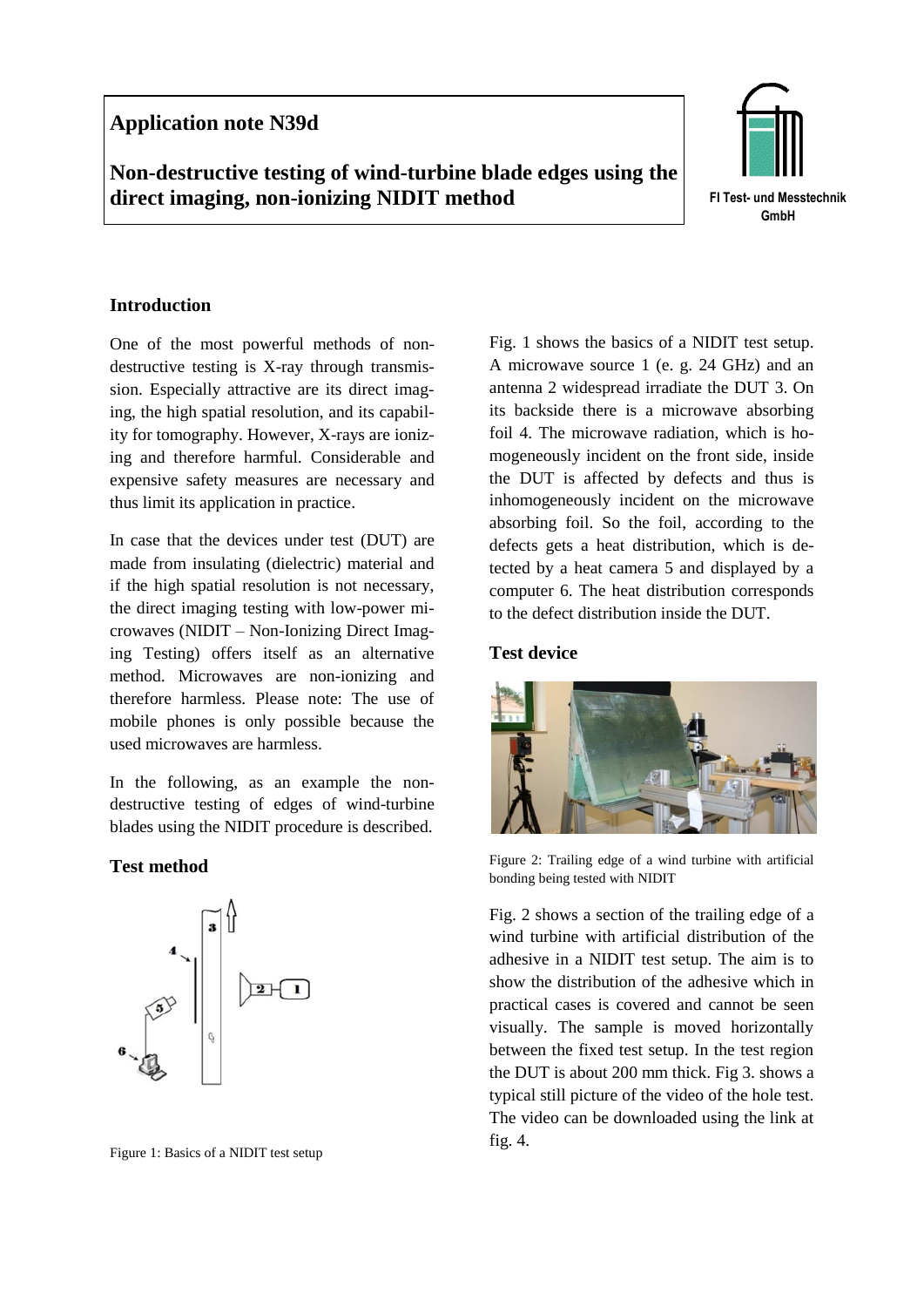## **Application note N39d**

# **Non-destructive testing of wind-turbine blade edges using the direct imaging, non-ionizing NIDIT method**



## **Introduction**

One of the most powerful methods of nondestructive testing is X-ray through transmission. Especially attractive are its direct imaging, the high spatial resolution, and its capability for tomography. However, X-rays are ionizing and therefore harmful. Considerable and expensive safety measures are necessary and thus limit its application in practice.

In case that the devices under test (DUT) are made from insulating (dielectric) material and if the high spatial resolution is not necessary, the direct imaging testing with low-power microwaves (NIDIT – Non-Ionizing Direct Imaging Testing) offers itself as an alternative method. Microwaves are non-ionizing and therefore harmless. Please note: The use of mobile phones is only possible because the used microwaves are harmless.

In the following, as an example the nondestructive testing of edges of wind-turbine blades using the NIDIT procedure is described.

#### **Test method**



Figure 1: Basics of a NIDIT test setup

Fig. 1 shows the basics of a NIDIT test setup. A microwave source 1 (e. g. 24 GHz) and an antenna 2 widespread irradiate the DUT 3. On its backside there is a microwave absorbing foil 4. The microwave radiation, which is homogeneously incident on the front side, inside the DUT is affected by defects and thus is inhomogeneously incident on the microwave absorbing foil. So the foil, according to the defects gets a heat distribution, which is detected by a heat camera 5 and displayed by a computer 6. The heat distribution corresponds to the defect distribution inside the DUT.

## **Test device**



Figure 2: Trailing edge of a wind turbine with artificial bonding being tested with NIDIT

Fig. 2 shows a section of the trailing edge of a wind turbine with artificial distribution of the adhesive in a NIDIT test setup. The aim is to show the distribution of the adhesive which in practical cases is covered and cannot be seen visually. The sample is moved horizontally between the fixed test setup. In the test region the DUT is about 200 mm thick. Fig 3. shows a typical still picture of the video of the hole test. The video can be downloaded using the link at fig. 4.